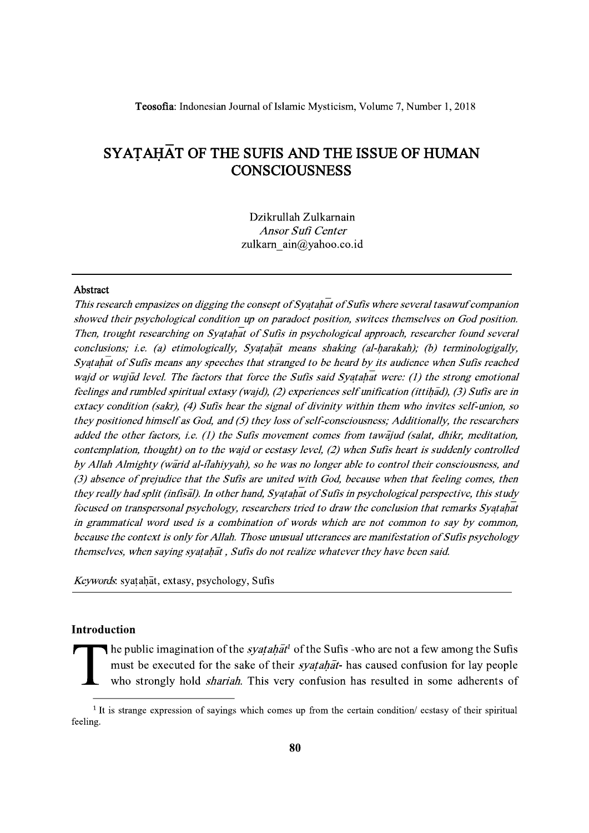Teosofia: Indonesian Journal of Islamic Mysticism, Volume 7, Number 1, 2018

# SYATAHAT OF THE SUFIS AND THE ISSUE OF HUMAN **CONSCIOUSNESS**

Dzikrullah Zulkarnain Ansor Sufi Center zulkarn ain@yahoo.co.id

### Abstract

This research empasizes on digging the consept of Syatahat of Sufis where several tasawuf companion showed their psychological condition up on paradoct position, switces themselves on God position. Then, trought researching on Syatahat of Sufis in psychological approach, researcher found several conclusions; i.e. (a) etimologically, Syatahat means shaking (al-harakah); (b) terminologigally, Syatahat of Sufis means any speeches that stranged to be heard by its audience when Sufis reached waid or wujud level. The factors that force the Sufis said Syatahat were: (1) the strong emotional feelings and rumbled spiritual extasy (wajd), (2) experiences self unification (ittihad), (3) Sufis are in extacy condition (sakr), (4) Sufis hear the signal of divinity within them who invites self-union, so they positioned himself as God, and  $(5)$  they loss of self-consciousness; Additionally, the researchers added the other factors, i.e. (1) the Sufis movement comes from tawajud (salat, dhikr, meditation, contemplation, thought) on to the wajd or ecstasy level, (2) when Sufis heart is suddenly controlled by Allah Almighty (warid al-ilahiyyah), so he was no longer able to control their consciousness, and (3) absence of prejudice that the Sufis are united with God, because when that feeling comes, then they really had split (infisal). In other hand, Syatahat of Sufis in psychological perspective, this study focused on transpersonal psychology, researchers tried to draw the conclusion that remarks Syatahat in grammatical word used is a combination of words which are not common to say by common, because the context is only for Allah. Those unusual utterances are manifestation of Sufis psychology themselves, when saying syatahat, Sufis do not realize whatever they have been said.

Keywords. syatahat, extasy, psychology, Sufis

### Introduction

The public imagination of the *syatahat*<sup>1</sup> of the Sufis -who are not a few among the Sufis must be executed for the sake of their *syatahat*- has caused confusion for lay people who strongly hold *shariah*. This very confusion has resulted in some adherents of

<sup>&</sup>lt;sup>1</sup> It is strange expression of sayings which comes up from the certain condition/ ecstasy of their spiritual feeling.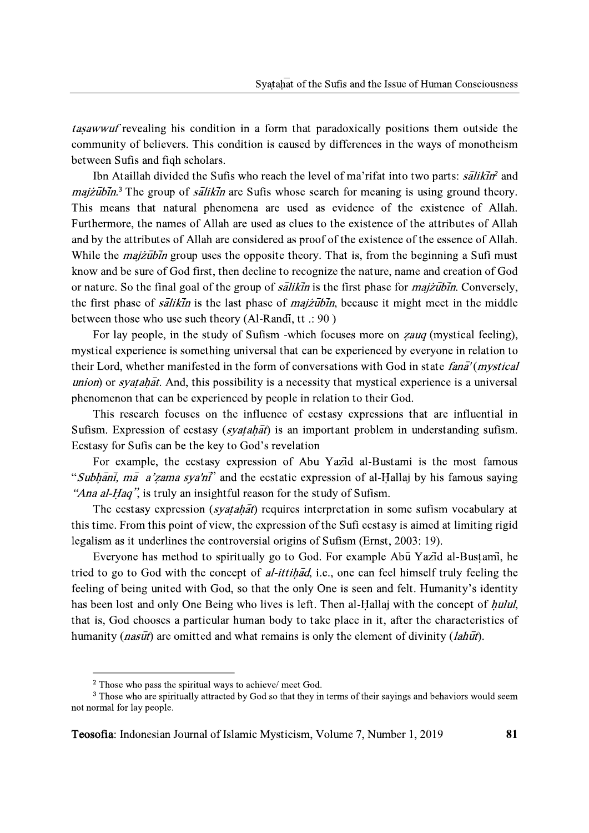tasawwuf revealing his condition in a form that paradoxically positions them outside the community of believers. This condition is caused by differences in the ways of monotheism between Sufis and figh scholars.

Ibn Ataillah divided the Sufis who reach the level of ma'rifat into two parts: salikin' and *majzubin*.<sup>3</sup> The group of *salikin* are Sufis whose search for meaning is using ground theory. This means that natural phenomena are used as evidence of the existence of Allah. Furthermore, the names of Allah are used as clues to the existence of the attributes of Allah and by the attributes of Allah are considered as proof of the existence of the essence of Allah. While the *majzubin* group uses the opposite theory. That is, from the beginning a Sufi must know and be sure of God first, then decline to recognize the nature, name and creation of God or nature. So the final goal of the group of *salikin* is the first phase for *majzubin*. Conversely, the first phase of *salikin* is the last phase of *majzubin*, because it might meet in the middle between those who use such theory (Al-Randi, tt .: 90)

For lay people, in the study of Sufism -which focuses more on *zauq* (mystical feeling), mystical experience is something universal that can be experienced by everyone in relation to their Lord, whether manifested in the form of conversations with God in state *fana'* (*mystical*) union) or *syatahat*. And, this possibility is a necessity that mystical experience is a universal phenomenon that can be experienced by people in relation to their God.

This research focuses on the influence of ecstasy expressions that are influential in Sufism. Expression of ecstasy (syatahat) is an important problem in understanding sufism. Ecstasy for Sufis can be the key to God's revelation

For example, the ecstasy expression of Abu Yazid al-Bustami is the most famous "Subhani, ma a'zama sya'ni" and the ecstatic expression of al-Hallaj by his famous saying "Ana al-Haq", is truly an insightful reason for the study of Sufism.

The ecstasy expression (*syatahat*) requires interpretation in some sufism vocabulary at this time. From this point of view, the expression of the Sufi ecstasy is aimed at limiting rigid legalism as it underlines the controversial origins of Sufism (Ernst, 2003: 19).

Everyone has method to spiritually go to God. For example Abu Yazid al-Bustami, he tried to go to God with the concept of *al-ittihad*, i.e., one can feel himself truly feeling the feeling of being united with God, so that the only One is seen and felt. Humanity's identity has been lost and only One Being who lives is left. Then al-Hallaj with the concept of *hulul*, that is, God chooses a particular human body to take place in it, after the characteristics of humanity (*nasut*) are omitted and what remains is only the element of divinity (*lahut*).

<sup>&</sup>lt;sup>2</sup> Those who pass the spiritual ways to achieve/ meet God.

<sup>&</sup>lt;sup>3</sup> Those who are spiritually attracted by God so that they in terms of their sayings and behaviors would seem not normal for lay people.

Teosofia: Indonesian Journal of Islamic Mysticism, Volume 7, Number 1, 2019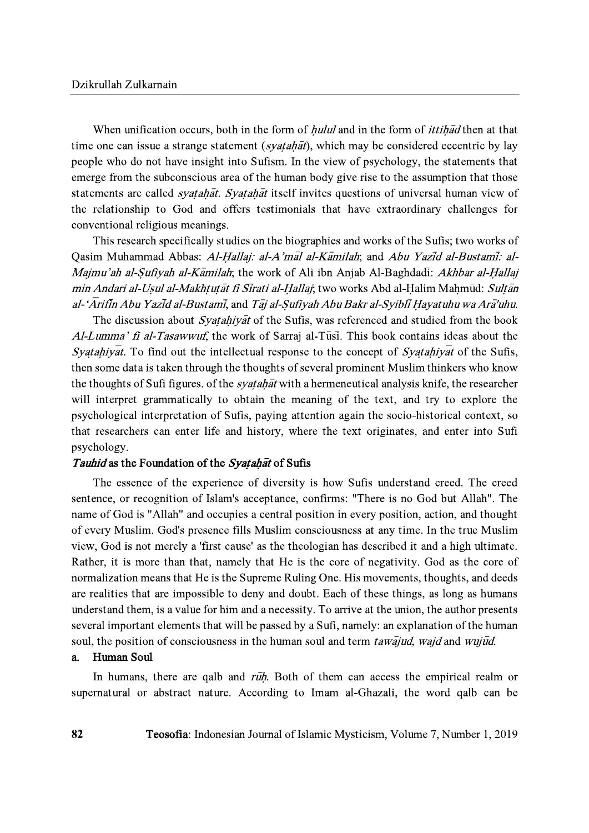When unification occurs, both in the form of *hulul* and in the form of *ittihad* then at that time one can issue a strange statement (*syatahat*), which may be considered eccentric by lay people who do not have insight into Sufism. In the view of psychology, the statements that emerge from the subconscious area of the human body give rise to the assumption that those statements are called *syatahat*. Syatahat itself invites questions of universal human view of the relationship to God and offers testimonials that have extraordinary challenges for conventional religious meanings.

This research specifically studies on the biographies and works of the Sufis; two works of Oasim Muhammad Abbas: Al-Hallai: al-A'mal al-Kamilah; and Abu Yazid al-Bustami: al-Majmu'ah al-Sufiyah al-Kamilah; the work of Ali ibn Anjab Al-Baghdadi: Akhbar al-Hallaj min Andari al-Usul al-Makhtutāt fi Sīrati al-Hallai; two works Abd al-Halim Mahmud: Sultān al-'Arifin Abu Yazid al-Bustami, and Taj al-Sufiyah Abu Bakr al-Syibli Hayatuhu wa Ara'uhu.

The discussion about Syatahiyat of the Sufis, was referenced and studied from the book Al-Lumma' fi al-Tasawwuf, the work of Sarraj al-Tusi. This book contains ideas about the Syatahiyat. To find out the intellectual response to the concept of Syatahiyat of the Sufis, then some data is taken through the thoughts of several prominent Muslim thinkers who know the thoughts of Sufi figures. of the *syatahat* with a hermeneutical analysis knife, the researcher will interpret grammatically to obtain the meaning of the text, and try to explore the psychological interpretation of Sufis, paying attention again the socio-historical context, so that researchers can enter life and history, where the text originates, and enter into Sufi psychology.

### Tauhid as the Foundation of the Syatahat of Sufis

The essence of the experience of diversity is how Sufis understand creed. The creed sentence, or recognition of Islam's acceptance, confirms: "There is no God but Allah". The name of God is "Allah" and occupies a central position in every position, action, and thought of every Muslim. God's presence fills Muslim consciousness at any time. In the true Muslim view, God is not merely a 'first cause' as the theologian has described it and a high ultimate. Rather, it is more than that, namely that He is the core of negativity. God as the core of normalization means that He is the Supreme Ruling One. His movements, thoughts, and deeds are realities that are impossible to deny and doubt. Each of these things, as long as humans understand them, is a value for him and a necessity. To arrive at the union, the author presents several important elements that will be passed by a Sufi, namely: an explanation of the human soul, the position of consciousness in the human soul and term *tawajud, wajd* and *wujud.* 

#### Human Soul  $a_{\cdot}$

In humans, there are galb and ruh. Both of them can access the empirical realm or supernatural or abstract nature. According to Imam al-Ghazali, the word qalb can be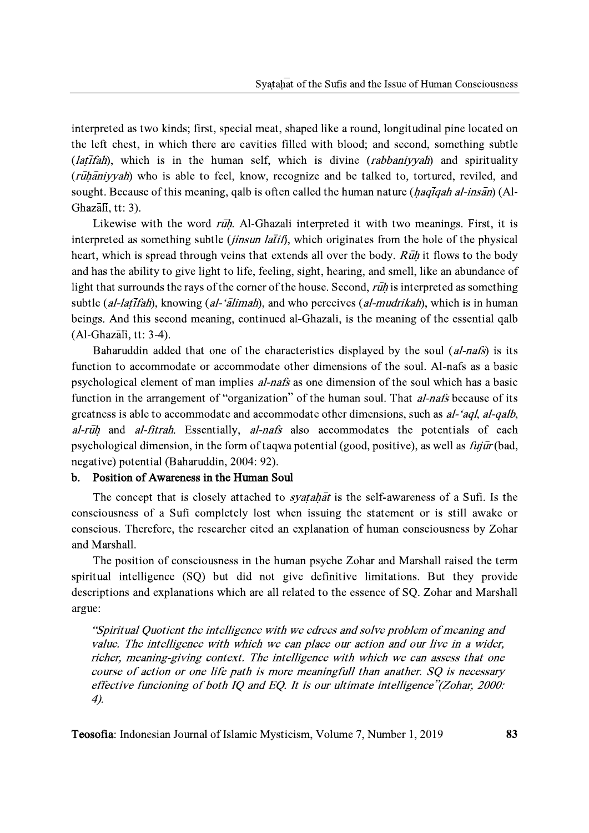interpreted as two kinds; first, special meat, shaped like a round, longitudinal pine located on the left chest, in which there are cavities filled with blood; and second, something subtle (*latifah*), which is in the human self, which is divine (*rabbaniyyah*) and spirituality (rūhāniyyah) who is able to feel, know, recognize and be talked to, tortured, reviled, and sought. Because of this meaning, galb is often called the human nature (*haqiqah al-insan*) (Al-Ghazali, tt: 3).

Likewise with the word ruh. Al-Ghazali interpreted it with two meanings. First, it is interpreted as something subtle *(jinsun latif)*, which originates from the hole of the physical heart, which is spread through veins that extends all over the body. Ruh it flows to the body and has the ability to give light to life, feeling, sight, hearing, and smell, like an abundance of light that surrounds the rays of the corner of the house. Second, ruh is interpreted as something subtle (al-latifah), knowing (al-'alimah), and who perceives (al-mudrikah), which is in human beings. And this second meaning, continued al-Ghazali, is the meaning of the essential qalb  $(Al-Ghaz\overline{a}I\overline{b}, tt: 3-4).$ 

Baharuddin added that one of the characteristics displayed by the soul (al-nafs) is its function to accommodate or accommodate other dimensions of the soul. Al-nafs as a basic psychological element of man implies al-nafs as one dimension of the soul which has a basic function in the arrangement of "organization" of the human soul. That al-nafs because of its greatness is able to accommodate and accommodate other dimensions, such as al-'aql, al-qalb, al-ruh and al-fitrah. Essentially, al-nafs also accommodates the potentials of each psychological dimension, in the form of taqwa potential (good, positive), as well as  $f_{ij}\bar{u}r$  (bad, negative) potential (Baharuddin, 2004: 92).

#### Position of Awareness in the Human Soul  $\mathbf{b}$ .

The concept that is closely attached to *syatahat* is the self-awareness of a Sufi. Is the consciousness of a Sufi completely lost when issuing the statement or is still awake or conscious. Therefore, the researcher cited an explanation of human consciousness by Zohar and Marshall.

The position of consciousness in the human psyche Zohar and Marshall raised the term spiritual intelligence (SQ) but did not give definitive limitations. But they provide descriptions and explanations which are all related to the essence of SQ. Zohar and Marshall argue:

"Spiritual Quotient the intelligence with we edrees and solve problem of meaning and value. The intelligence with which we can place our action and our live in a wider, richer, meaning-giving context. The intelligence with which we can assess that one course of action or one life path is more meaningfull than anather. SQ is necessary effective funcioning of both IQ and EQ. It is our ultimate intelligence"(Zohar, 2000:  $4<sub>2</sub>$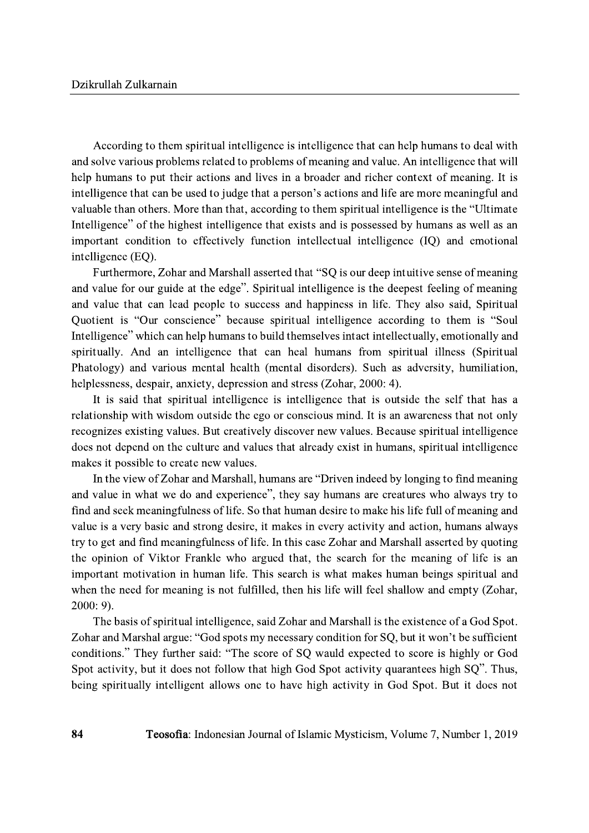According to them spiritual intelligence is intelligence that can help humans to deal with and solve various problems related to problems of meaning and value. An intelligence that will help humans to put their actions and lives in a broader and richer context of meaning. It is intelligence that can be used to judge that a person's actions and life are more meaningful and valuable than others. More than that, according to them spiritual intelligence is the "Ultimate Intelligence" of the highest intelligence that exists and is possessed by humans as well as an important condition to effectively function intellectual intelligence (IQ) and emotional intelligence (EO).

Furthermore, Zohar and Marshall asserted that "SQ is our deep intuitive sense of meaning and value for our guide at the edge". Spiritual intelligence is the deepest feeling of meaning and value that can lead people to success and happiness in life. They also said, Spiritual Quotient is "Our conscience" because spiritual intelligence according to them is "Soul Intelligence" which can help humans to build themselves intact intellectually, emotionally and spiritually. And an intelligence that can heal humans from spiritual illness (Spiritual Phatology) and various mental health (mental disorders). Such as adversity, humiliation, helplessness, despair, anxiety, depression and stress (Zohar, 2000: 4).

It is said that spiritual intelligence is intelligence that is outside the self that has a relationship with wisdom outside the ego or conscious mind. It is an awareness that not only recognizes existing values. But creatively discover new values. Because spiritual intelligence does not depend on the culture and values that already exist in humans, spiritual intelligence makes it possible to create new values.

In the view of Zohar and Marshall, humans are "Driven indeed by longing to find meaning and value in what we do and experience", they say humans are creatures who always try to find and seek meaningfulness of life. So that human desire to make his life full of meaning and value is a very basic and strong desire, it makes in every activity and action, humans always try to get and find meaningfulness of life. In this case Zohar and Marshall asserted by quoting the opinion of Viktor Frankle who argued that, the search for the meaning of life is an important motivation in human life. This search is what makes human beings spiritual and when the need for meaning is not fulfilled, then his life will feel shallow and empty (Zohar,  $2000:9$ ).

The basis of spiritual intelligence, said Zohar and Marshall is the existence of a God Spot. Zohar and Marshal argue: "God spots my necessary condition for SQ, but it won't be sufficient conditions." They further said: "The score of SQ wauld expected to score is highly or God Spot activity, but it does not follow that high God Spot activity quarantees high SQ". Thus, being spiritually intelligent allows one to have high activity in God Spot. But it does not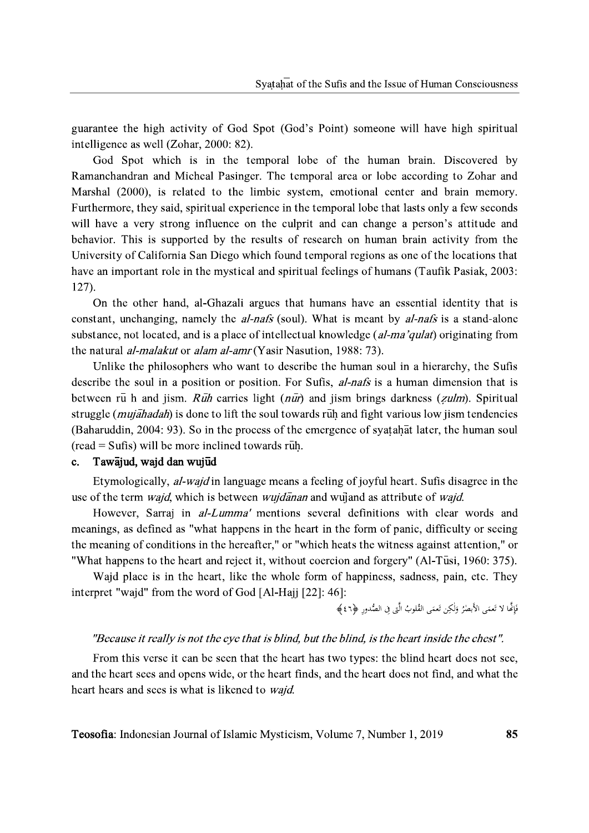guarantee the high activity of God Spot (God's Point) someone will have high spiritual intelligence as well (Zohar, 2000: 82).

God Spot which is in the temporal lobe of the human brain. Discovered by Ramanchandran and Micheal Pasinger. The temporal area or lobe according to Zohar and Marshal (2000), is related to the limbic system, emotional center and brain memory. Furthermore, they said, spiritual experience in the temporal lobe that lasts only a few seconds will have a very strong influence on the culprit and can change a person's attitude and behavior. This is supported by the results of research on human brain activity from the University of California San Diego which found temporal regions as one of the locations that have an important role in the mystical and spiritual feelings of humans (Taufik Pasiak, 2003:  $127$ ).

On the other hand, al-Ghazali argues that humans have an essential identity that is constant, unchanging, namely the *al-nafs* (soul). What is meant by *al-nafs* is a stand-alone substance, not located, and is a place of intellectual knowledge (al-ma'qulat) originating from the natural *al-malakut* or *alam al-amr* (Yasir Nasution, 1988: 73).

Unlike the philosophers who want to describe the human soul in a hierarchy, the Sufis describe the soul in a position or position. For Sufis, *al-nafs* is a human dimension that is between rū h and jism.  $R\bar{u}h$  carries light ( $n\bar{u}r$ ) and jism brings darkness (*zulm*). Spiritual struggle *(mujahadah)* is done to lift the soul towards ruh and fight various low jism tendencies (Baharuddin, 2004: 93). So in the process of the emergence of syatahat later, the human soul  $(\text{read} = \text{Sufis})$  will be more inclined towards ruh.

#### Tawajud, wajd dan wujud  $\mathbf{c}$ .

Etymologically, *al-wajd* in language means a feeling of joyful heart. Sufis disagree in the use of the term *wajd*, which is between *wujdanan* and wujand as attribute of *wajd*.

However, Sarraj in *al-Lumma'* mentions several definitions with clear words and meanings, as defined as "what happens in the heart in the form of panic, difficulty or seeing the meaning of conditions in the hereafter," or "which heats the witness against attention," or "What happens to the heart and reject it, without coercion and forgery" (Al-Tusi, 1960: 375).

Wajd place is in the heart, like the whole form of happiness, sadness, pain, etc. They interpret "wajd" from the word of God [Al-Hajj [22]: 46]:

فَإِنَّمَا لا تَعمَى الأَبْصِرُ وَلٰكِن تَعمَى القُلوبُ الَّتِي في الصُّدورِ ﴿٤٦﴾

### "Because it really is not the eye that is blind, but the blind, is the heart inside the chest".

From this verse it can be seen that the heart has two types: the blind heart does not see, and the heart sees and opens wide, or the heart finds, and the heart does not find, and what the heart hears and sees is what is likened to *wajd*.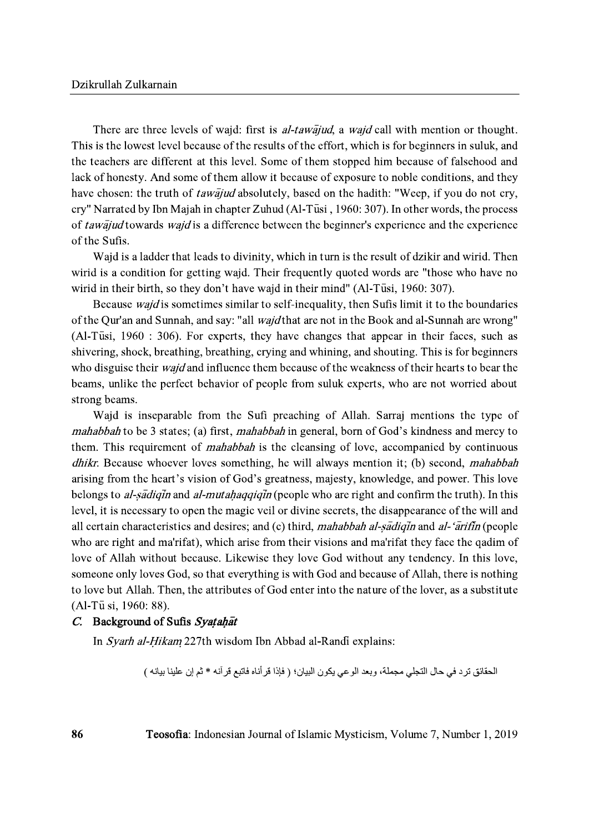There are three levels of wajd: first is *al-tawajud*, a *wajd* call with mention or thought. This is the lowest level because of the results of the effort, which is for beginners in suluk, and the teachers are different at this level. Some of them stopped him because of falsehood and lack of honesty. And some of them allow it because of exposure to noble conditions, and they have chosen: the truth of *tawajud* absolutely, based on the hadith: "Weep, if you do not cry, cry" Narrated by Ibn Majah in chapter Zuhud (Al-Tusi, 1960: 307). In other words, the process of tawajud towards wajd is a difference between the beginner's experience and the experience of the Sufis.

Wajd is a ladder that leads to divinity, which in turn is the result of dzikir and wirid. Then wirid is a condition for getting wajd. Their frequently quoted words are "those who have no wirid in their birth, so they don't have wajd in their mind" (Al-Tusi, 1960: 307).

Because *wajd* is sometimes similar to self-inequality, then Sufis limit it to the boundaries of the Qur'an and Sunnah, and say: "all *wajd* that are not in the Book and al-Sunnah are wrong" (Al-Tusi, 1960 : 306). For experts, they have changes that appear in their faces, such as shivering, shock, breathing, breathing, crying and whining, and shouting. This is for beginners who disguise their *wajd* and influence them because of the weakness of their hearts to bear the beams, unlike the perfect behavior of people from suluk experts, who are not worried about strong beams.

Wajd is inseparable from the Sufi preaching of Allah. Sarraj mentions the type of *mahabbah* to be 3 states; (a) first, *mahabbah* in general, born of God's kindness and mercy to them. This requirement of *mahabbah* is the cleansing of love, accompanied by continuous *dhikr*. Because whoever loves something, he will always mention it; (b) second, *mahabbah* arising from the heart's vision of God's greatness, majesty, knowledge, and power. This love belongs to al-sadique and al-mutahaggique (people who are right and confirm the truth). In this level, it is necessary to open the magic veil or divine secrets, the disappearance of the will and all certain characteristics and desires; and (c) third, mahabbah al-sadigin and al-'arifin (people who are right and ma'rifat), which arise from their visions and ma'rifat they face the qadim of love of Allah without because. Likewise they love God without any tendency. In this love, someone only loves God, so that everything is with God and because of Allah, there is nothing to love but Allah. Then, the attributes of God enter into the nature of the lover, as a substitute (Al-Tū si, 1960: 88).

# C. Background of Sufis Syatahat

In Syarh al-Hikam 227th wisdom Ibn Abbad al-Randi explains:

الحقائق ترد في حال التجلي مجملة، وبعد الوعي يكون البيان؛ ﴿ فَإِذَا قَرْ أَناه فَاتِبِعٍ قَرْ آنِهِ \* ثم إن علينا بيانه ﴾

Teosofia: Indonesian Journal of Islamic Mysticism, Volume 7, Number 1, 2019

86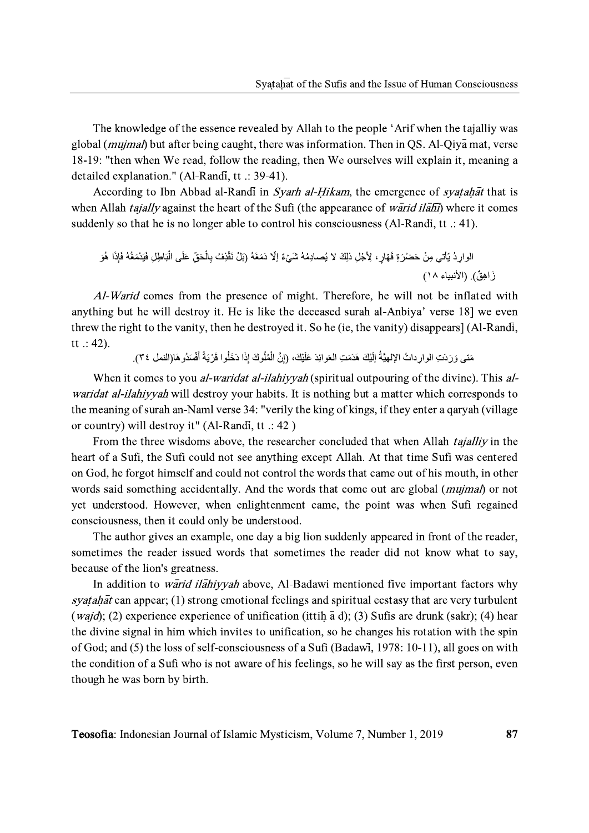The knowledge of the essence revealed by Allah to the people 'Arif when the tajalliy was global (*mujmal*) but after being caught, there was information. Then in QS. Al-Qiya mat, verse 18-19: "then when We read, follow the reading, then We ourselves will explain it, meaning a detailed explanation." (Al-Randi, tt .: 39-41).

According to Ibn Abbad al-Randi in Syarh al-Hikam, the emergence of syatahat that is when Allah *tajally* against the heart of the Sufi (the appearance of *warid ilahi*) where it comes suddenly so that he is no longer able to control his consciousness (Al-Randi, tt  $\therefore$  41).

Al-Warid comes from the presence of might. Therefore, he will not be inflated with anything but he will destroy it. He is like the deceased surah al-Anbiya' verse 18] we even threw the right to the vanity, then he destroyed it. So he (ie, the vanity) disappears] (Al-Randi,  $tt :: 42).$ 

مَتِي وَ رَدَتِ الوارِ داتُ الإلهيَّةُ اِلَّتِكَ هَدَمَتِ العَوائِدَ عَلَيْكَ، (إنَّ الْمُلُوكَ إذَا دَخَلُوا قَرْ يَةً أَفْسَدُو هَا(النمل ٣٤).

When it comes to you *al-waridat al-ilahiyyah* (spiritual outpouring of the divine). This *alwaridat al-ilahiyyah* will destroy your habits. It is nothing but a matter which corresponds to the meaning of surah an-Naml verse 34: "verily the king of kings, if they enter a qaryah (village or country) will destroy it" (Al-Randi, tt .: 42)

From the three wisdoms above, the researcher concluded that when Allah *tajalliy* in the heart of a Sufi, the Sufi could not see anything except Allah. At that time Sufi was centered on God, he forgot himself and could not control the words that came out of his mouth, in other words said something accidentally. And the words that come out are global (*mujmal*) or not yet understood. However, when enlightenment came, the point was when Sufi regained consciousness, then it could only be understood.

The author gives an example, one day a big lion suddenly appeared in front of the reader, sometimes the reader issued words that sometimes the reader did not know what to say, because of the lion's greatness.

In addition to *warid ilahiyyah* above, Al-Badawi mentioned five important factors why *syatahat* can appear; (1) strong emotional feelings and spiritual ecstasy that are very turbulent (*wajd*); (2) experience experience of unification (ittih  $\bar{a}$  d); (3) Sufis are drunk (sakr); (4) hear the divine signal in him which invites to unification, so he changes his rotation with the spin of God; and (5) the loss of self-consciousness of a Sufi (Badawi, 1978: 10-11), all goes on with the condition of a Sufi who is not aware of his feelings, so he will say as the first person, even though he was born by birth.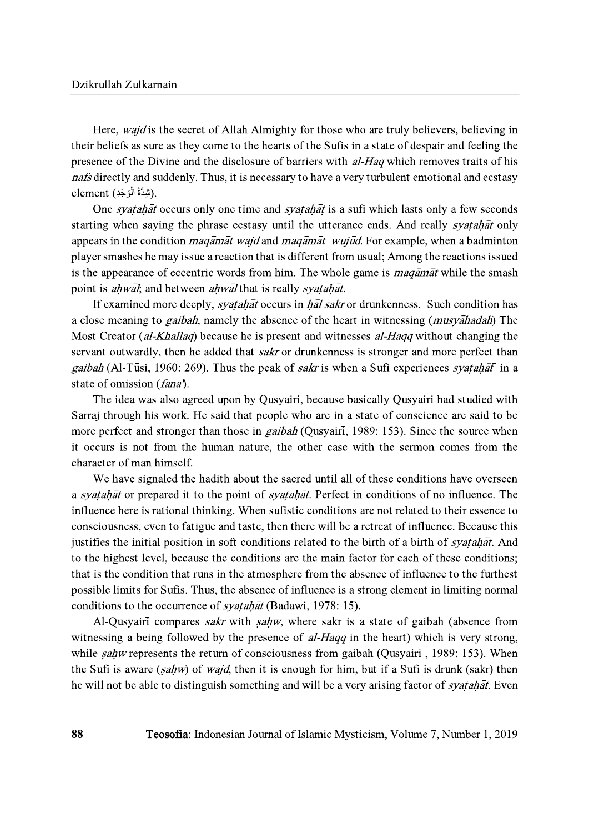Here, *wajd* is the secret of Allah Almighty for those who are truly believers, believing in their beliefs as sure as they come to the hearts of the Sufis in a state of despair and feeling the presence of the Divine and the disclosure of barriers with *al-Haq* which removes traits of his *nafs* directly and suddenly. Thus, it is necessary to have a very turbulent emotional and ecstasy element (شِدَّةُ الْوَجْدِ).

One *syatahat* occurs only one time and *syatahat* is a sufi which lasts only a few seconds starting when saying the phrase ecstasy until the utterance ends. And really *syatahat* only appears in the condition *magamat wajd* and *magamat wujud*. For example, when a badminton player smashes he may issue a reaction that is different from usual; Among the reactions issued is the appearance of eccentric words from him. The whole game is *maqamat* while the smash point is *ahwal*; and between *ahwal* that is really *syatahat*.

If examined more deeply, *syatahat* occurs in *hal sakr* or drunkenness. Such condition has a close meaning to *gaibah*, namely the absence of the heart in witnessing (*musyahadah*) The Most Creator (al-Khallaq) because he is present and witnesses al-Haqq without changing the servant outwardly, then he added that *sakr* or drunkenness is stronger and more perfect than gaibah (Al-Tūsi, 1960: 269). Thus the peak of sakr is when a Sufi experiences syatahat in a state of omission (fana).

The idea was also agreed upon by Qusyairi, because basically Qusyairi had studied with Sarraj through his work. He said that people who are in a state of conscience are said to be more perfect and stronger than those in *gaibah* (Qusyairi, 1989: 153). Since the source when it occurs is not from the human nature, the other case with the sermon comes from the character of man himself.

We have signaled the hadith about the sacred until all of these conditions have overseen a syatahat or prepared it to the point of syatahat. Perfect in conditions of no influence. The influence here is rational thinking. When sufistic conditions are not related to their essence to consciousness, even to fatigue and taste, then there will be a retreat of influence. Because this justifies the initial position in soft conditions related to the birth of a birth of *syatahat*. And to the highest level, because the conditions are the main factor for each of these conditions; that is the condition that runs in the atmosphere from the absence of influence to the furthest possible limits for Sufis. Thus, the absence of influence is a strong element in limiting normal conditions to the occurrence of *syatahat* (Badawi, 1978: 15).

Al-Qusyairi compares *sakr* with *sahw*, where sakr is a state of gaibah (absence from witnessing a being followed by the presence of *al-Hagg* in the heart) which is very strong, while *sahw* represents the return of consciousness from gaibah (Qusyairi, 1989: 153). When the Sufi is aware (sahw) of wajd, then it is enough for him, but if a Sufi is drunk (sakr) then he will not be able to distinguish something and will be a very arising factor of *syatahat*. Even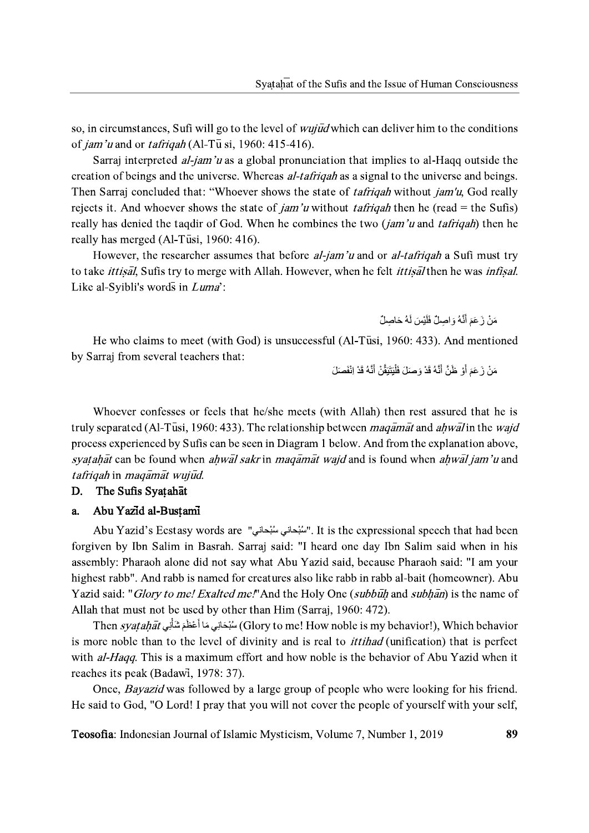so, in circumstances, Sufi will go to the level of *wujud* which can deliver him to the conditions of *jam'u* and or *tafrigah* (Al-T $\bar{u}$  si, 1960: 415-416).

Sarraj interpreted *al-jam'u* as a global pronunciation that implies to al-Hagg outside the creation of beings and the universe. Whereas *al-tafriqah* as a signal to the universe and beings. Then Sarraj concluded that: "Whoever shows the state of *tafriqah* without *jam'u*, God really rejects it. And whoever shows the state of *jam'u* without *tafrigah* then he (read = the Sufis) really has denied the tagdir of God. When he combines the two *(jam'u and tafrigah)* then he really has merged (Al-Tusi, 1960: 416).

However, the researcher assumes that before *al-jam'u* and or *al-tafrigah* a Sufi must try to take *ittisal*, Sufis try to merge with Allah. However, when he felt *ittisal* then he was *infisal*. Like al-Syibli's words in Luma':

مَنْ زَ عَمَ أَنَّهُ وَ اصلٌ فَلَبْسَ لَهُ حَاصلٌ

He who claims to meet (with God) is unsuccessful (Al-Tusi, 1960: 433). And mentioned by Sarraj from several teachers that:

مَنْ زَ عَمَ أَوْ ظُنَّ أَنَّهُ قَدْ وَ صَلَ فَلْبَتَبَقَّنْ أَنَّهُ قَدْ إِنْفَصَلَ

Whoever confesses or feels that he/she meets (with Allah) then rest assured that he is truly separated (Al-Tusi, 1960: 433). The relationship between *magamat* and *ahwal* in the *wajd* process experienced by Sufis can be seen in Diagram 1 below. And from the explanation above, syatahat can be found when ahwal sakr in magamat wajd and is found when ahwal jam'u and tafrigah in magamat wujud.

### The Sufis Syatahat D.

#### Abu Yazid al-Bustami a.

Abu Yazid's Ecstasy words are "سُبْحانى سُبْحانى". It is the expressional speech that had been forgiven by Ibn Salim in Basrah. Sarraj said: "I heard one day Ibn Salim said when in his assembly: Pharaoh alone did not say what Abu Yazid said, because Pharaoh said: "I am your highest rabb". And rabb is named for creatures also like rabb in rabb al-bait (homeowner). Abu Yazid said: "*Glory to me! Exalted me!*" And the Holy One (*subbulh* and *subhan*) is the name of Allah that must not be used by other than Him (Sarraj, 1960: 472).

Then syatahat أَعْظَمَ شَأْنِي Then syatahat المُبْحَانِي مَا أَعْظَمَ شَأْنِي Then syatahat is more noble than to the level of divinity and is real to *ittihad* (unification) that is perfect with al-Haqq. This is a maximum effort and how noble is the behavior of Abu Yazid when it reaches its peak (Badawi, 1978: 37).

Once, *Bayazid* was followed by a large group of people who were looking for his friend. He said to God, "O Lord! I pray that you will not cover the people of yourself with your self,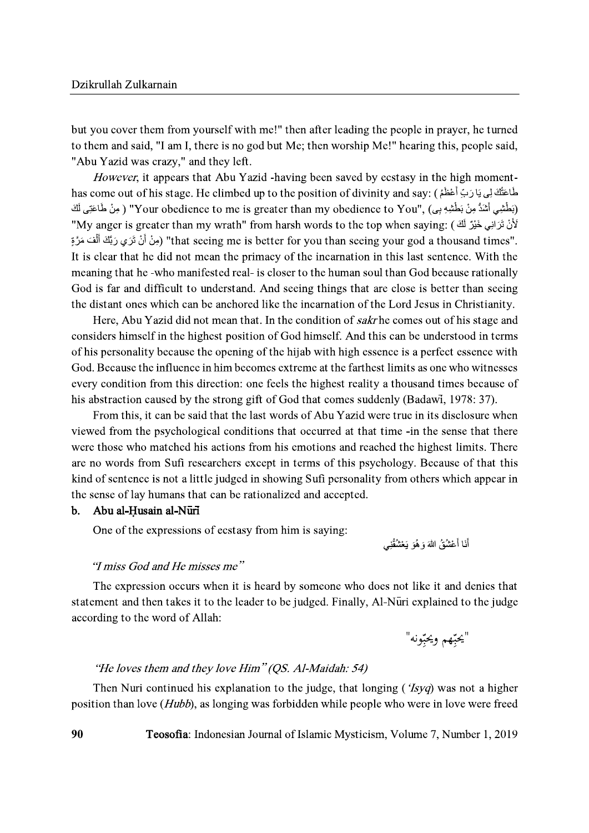but you cover them from yourself with me!" then after leading the people in prayer, he turned to them and said, "I am I, there is no god but Me; then worship Me!" hearing this, people said, "Abu Yazid was crazy," and they left.

However, it appears that Abu Yazid -having been saved by ecstasy in the high momenthas come out of his stage. He climbed up to the position of divinity and say: (فَمَاعَتُكَ لِي يَارَبَ أَعْظَمُ (بَطْشِي أَشَدُّ مِنْ بَطْشِهِ بِي) ,"Your obedience to me is greater than my obedience to You" ( مِنْ طَاعَتِي لَكَ لأَنْ نَرَانِي خَيْرٌ لَكَ ) :My anger is greater than my wrath" from harsh words to the top when saying" ."that seeing me is better for you than seeing your god a thousand times" (مِنْ أَنْ نَرَى رَبِّكَ أَلْفَ مَرَّةِ It is clear that he did not mean the primacy of the incarnation in this last sentence. With the meaning that he -who manifested real- is closer to the human soul than God because rationally God is far and difficult to understand. And seeing things that are close is better than seeing the distant ones which can be anchored like the incarnation of the Lord Jesus in Christianity.

Here, Abu Yazid did not mean that. In the condition of sakr he comes out of his stage and considers himself in the highest position of God himself. And this can be understood in terms of his personality because the opening of the hijab with high essence is a perfect essence with God. Because the influence in him becomes extreme at the farthest limits as one who witnesses every condition from this direction: one feels the highest reality a thousand times because of his abstraction caused by the strong gift of God that comes suddenly (Badawi, 1978: 37).

From this, it can be said that the last words of Abu Yazid were true in its disclosure when viewed from the psychological conditions that occurred at that time -in the sense that there were those who matched his actions from his emotions and reached the highest limits. There are no words from Sufi researchers except in terms of this psychology. Because of that this kind of sentence is not a little judged in showing Sufi personality from others which appear in the sense of lay humans that can be rationalized and accepted.

#### **.** Abu al-Husain al-Nūrī

One of the expressions of ecstasy from him is saying:

أَنَا أَعْشُقُ اللَّهَ وَ هُوَ ۖ يَعْشُقُنِي

# "I miss God and He misses me"

The expression occurs when it is heard by someone who does not like it and denies that statement and then takes it to the leader to be judged. Finally, Al-Nuri explained to the judge according to the word of Allah:

"يحبِّهم ويحبِّونه"

# "He loves them and they love Him" (OS. Al-Maidah: 54)

Then Nuri continued his explanation to the judge, that longing (*'Isyq*) was not a higher position than love (*Hubb*), as longing was forbidden while people who were in love were freed

Teosofia: Indonesian Journal of Islamic Mysticism, Volume 7, Number 1, 2019

90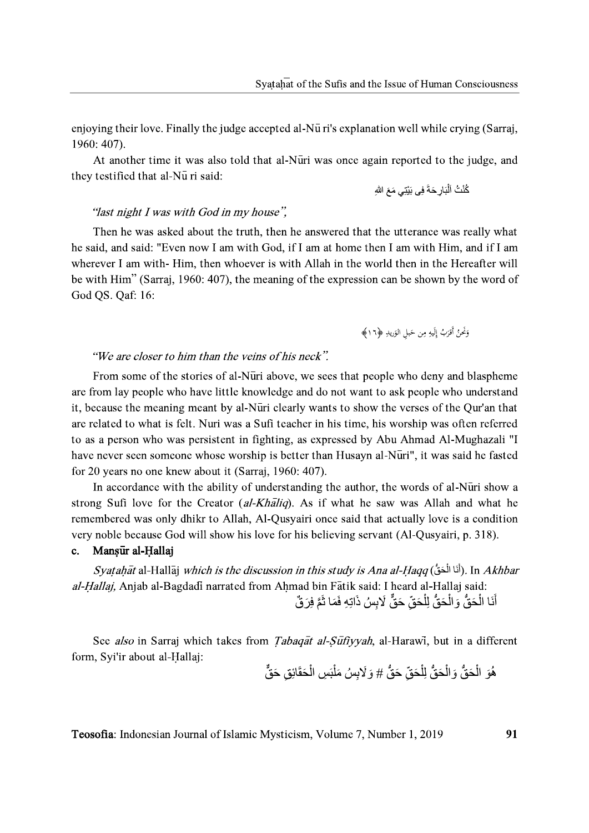enjoying their love. Finally the judge accepted al-Nu ri's explanation well while crying (Sarraj, 1960: 407).

At another time it was also told that al-Nuri was once again reported to the judge, and they testified that al-Nu ri said:

# "last night I was with God in my house".

Then he was asked about the truth, then he answered that the utterance was really what he said, and said: "Even now I am with God, if I am at home then I am with Him, and if I am wherever I am with-Him, then whoever is with Allah in the world then in the Hereafter will be with Him" (Sarraj, 1960: 407), the meaning of the expression can be shown by the word of God QS. Qaf: 16:

## "We are closer to him than the veins of his neck".

From some of the stories of al-Nūri above, we sees that people who deny and blaspheme are from lay people who have little knowledge and do not want to ask people who understand it, because the meaning meant by al-Nuri clearly wants to show the verses of the Qur'an that are related to what is felt. Nuri was a Sufi teacher in his time, his worship was often referred to as a person who was persistent in fighting, as expressed by Abu Ahmad Al-Mughazali "I have never seen someone whose worship is better than Husayn al-Nūri", it was said he fasted for 20 years no one knew about it (Sarraj, 1960: 407).

In accordance with the ability of understanding the author, the words of al-Nuri show a strong Sufi love for the Creator *(al-Khaliq)*. As if what he saw was Allah and what he remembered was only dhikr to Allah, Al-Qusyairi once said that actually love is a condition very noble because God will show his love for his believing servant (Al-Qusyairi, p. 318).

#### Mansur al-Hallaj  $c_{\cdot}$

Syatahāt al-Hallāj *which is the discussion in this study is Ana al-Haqq* (أَنَا الْحَقُّ). In *Akhbar* al-Hallaj, Anjab al-Bagdadi narrated from Ahmad bin Fatik said: I heard al-Hallaj said: أَنَا الْحَقُّ وَالْحَقُّ لِلْحَقِّ حَقٌّ لَابِسُ ذَاتِهِ فَمَا ثَمَّ فِرَ قُ

See also in Sarraj which takes from *Tabagat al-Suftyyah*, al-Harawi, but in a different form, Syi'ir about al-Hallaj:

هُوَ الْحَقُّ وَ الْحَقُّ لِلْحَقِّ حَقُّ # وَ لَابسُ مَلْبَسِ الْحَقَائِقِ حَقٌّ

91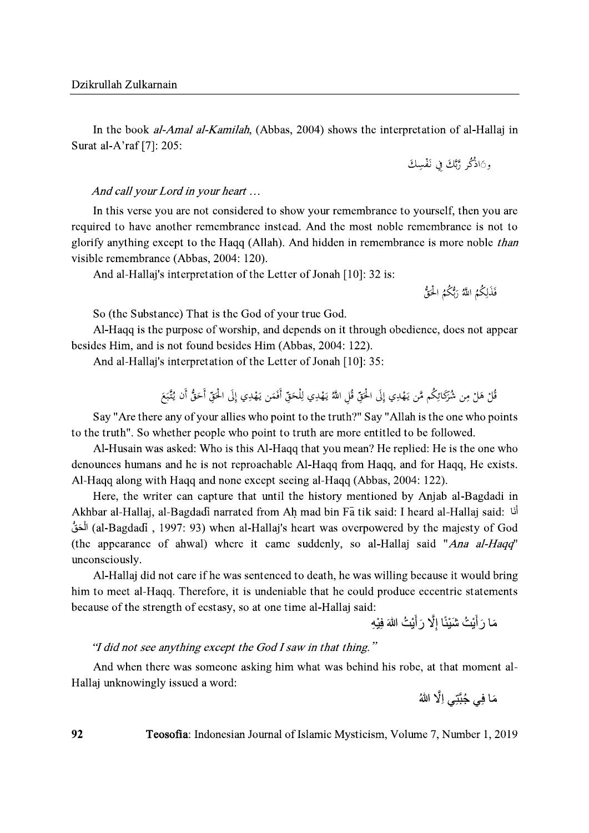In the book *al-Amal al-Kamilah*, (Abbas, 2004) shows the interpretation of al-Hallaj in Surat al-A'raf [7]: 205:

## And call your Lord in your heart ...

In this verse you are not considered to show your remembrance to yourself, then you are required to have another remembrance instead. And the most noble remembrance is not to glorify anything except to the Haqq (Allah). And hidden in remembrance is more noble than visible remembrance (Abbas, 2004: 120).

And al-Hallaj's interpretation of the Letter of Jonah [10]: 32 is:

فَذَلِكُمُ اللَّهُ رَبُّكُمُ الْحَقُّ

So (the Substance) That is the God of your true God.

Al-Haqq is the purpose of worship, and depends on it through obedience, does not appear besides Him, and is not found besides Him (Abbas, 2004: 122).

And al-Hallaj's interpretation of the Letter of Jonah [10]: 35:

Say "Are there any of your allies who point to the truth?" Say "Allah is the one who points to the truth". So whether people who point to truth are more entitled to be followed.

Al-Husain was asked: Who is this Al-Haqq that you mean? He replied: He is the one who denounces humans and he is not reproachable Al-Haqq from Haqq, and for Haqq, He exists. Al-Hagg along with Hagg and none except seeing al-Hagg (Abbas, 2004: 122).

Here, the writer can capture that until the history mentioned by Anjab al-Bagdadi in Akhbar al-Hallaj, al-Bagdadi narrated from Ah mad bin Fa tik said: I heard al-Hallaj said: أَنَا (al-Bagdadi), 1997: 93) when al-Hallaj's heart was overpowered by the majesty of God (the appearance of ahwal) where it came suddenly, so al-Hallaj said "Ana al-Haqq" unconsciously.

Al-Hallaj did not care if he was sentenced to death, he was willing because it would bring him to meet al-Hagg. Therefore, it is undeniable that he could produce eccentric statements because of the strength of ecstasy, so at one time al-Hallaj said:

مَا رَ أَيْتُ شَيْئًا إِلَّا رَ أَيْتُ اللَّهَ فِيْهِ

# "I did not see anything except the God I saw in that thing."

And when there was someone asking him what was behind his robe, at that moment al-Hallaj unknowingly issued a word:

مَا فِي جُبَّتِي اِلَّا اللهُ

Teosofia: Indonesian Journal of Islamic Mysticism, Volume 7, Number 1, 2019

92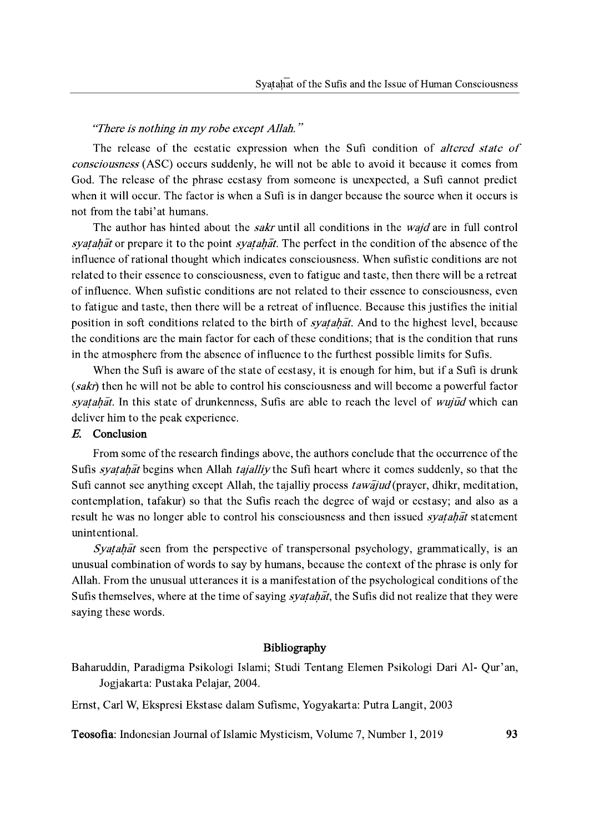# "There is nothing in my robe except Allah."

The release of the ecstatic expression when the Sufi condition of *altered state of consciousness* (ASC) occurs suddenly, he will not be able to avoid it because it comes from God. The release of the phrase ecstasy from someone is unexpected, a Sufi cannot predict when it will occur. The factor is when a Sufi is in danger because the source when it occurs is not from the tabi'at humans.

The author has hinted about the *sakr* until all conditions in the *wajd* are in full control syatahat or prepare it to the point syatahat. The perfect in the condition of the absence of the influence of rational thought which indicates consciousness. When sufistic conditions are not related to their essence to consciousness, even to fatigue and taste, then there will be a retreat of influence. When sufistic conditions are not related to their essence to consciousness, even to fatigue and taste, then there will be a retreat of influence. Because this justifies the initial position in soft conditions related to the birth of *syatahat*. And to the highest level, because the conditions are the main factor for each of these conditions; that is the condition that runs in the atmosphere from the absence of influence to the furthest possible limits for Sufis.

When the Sufi is aware of the state of ecstasy, it is enough for him, but if a Sufi is drunk (sakr) then he will not be able to control his consciousness and will become a powerful factor syatahat. In this state of drunkenness, Sufis are able to reach the level of wujud which can deliver him to the peak experience.

# E. Conclusion

From some of the research findings above, the authors conclude that the occurrence of the Sufis *syatahat* begins when Allah *tajalliy* the Sufi heart where it comes suddenly, so that the Sufi cannot see anything except Allah, the tajalliy process *tawajud* (prayer, dhikr, meditation, contemplation, tafakur) so that the Sufis reach the degree of wajd or ecstasy; and also as a result he was no longer able to control his consciousness and then issued *syatahat* statement unintentional.

*Syatahat* seen from the perspective of transpersonal psychology, grammatically, is an unusual combination of words to say by humans, because the context of the phrase is only for Allah. From the unusual utterances it is a manifestation of the psychological conditions of the Sufis themselves, where at the time of saying *syatahat*, the Sufis did not realize that they were saying these words.

## Bibliography

Baharuddin, Paradigma Psikologi Islami; Studi Tentang Elemen Psikologi Dari Al- Qur'an, Jogjakarta: Pustaka Pelajar, 2004.

Ernst, Carl W, Ekspresi Ekstase dalam Sufisme, Yogyakarta: Putra Langit, 2003